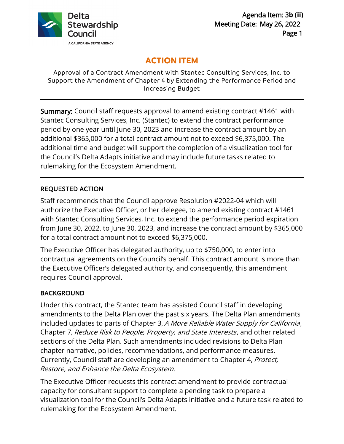

# **ACTION ITEM**

Approval of a Contract Amendment with Stantec Consulting Services, Inc. to Support the Amendment of Chapter 4 by Extending the Performance Period and Increasing Budget

Summary: Council staff requests approval to amend existing contract #1461 with Stantec Consulting Services, Inc. (Stantec) to extend the contract performance period by one year until June 30, 2023 and increase the contract amount by an additional \$365,000 for a total contract amount not to exceed \$6,375,000. The additional time and budget will support the completion of a visualization tool for the Council's Delta Adapts initiative and may include future tasks related to rulemaking for the Ecosystem Amendment.

### REQUESTED ACTION

Staff recommends that the Council approve Resolution #2022-04 which will authorize the Executive Officer, or her delegee, to amend existing contract #1461 with Stantec Consulting Services, Inc. to extend the performance period expiration from June 30, 2022, to June 30, 2023, and increase the contract amount by \$365,000 for a total contract amount not to exceed \$6,375,000.

The Executive Officer has delegated authority, up to \$750,000, to enter into contractual agreements on the Council's behalf. This contract amount is more than the Executive Officer's delegated authority, and consequently, this amendment requires Council approval.

### **BACKGROUND**

Under this contract, the Stantec team has assisted Council staff in developing amendments to the Delta Plan over the past six years. The Delta Plan amendments included updates to parts of Chapter 3, A More Reliable Water Supply for California, Chapter 7, Reduce Risk to People, Property, and State Interests, and other related sections of the Delta Plan. Such amendments included revisions to Delta Plan chapter narrative, policies, recommendations, and performance measures. Currently, Council staff are developing an amendment to Chapter 4, Protect, Restore, and Enhance the Delta Ecosystem.

The Executive Officer requests this contract amendment to provide contractual capacity for consultant support to complete a pending task to prepare a visualization tool for the Council's Delta Adapts initiative and a future task related to rulemaking for the Ecosystem Amendment.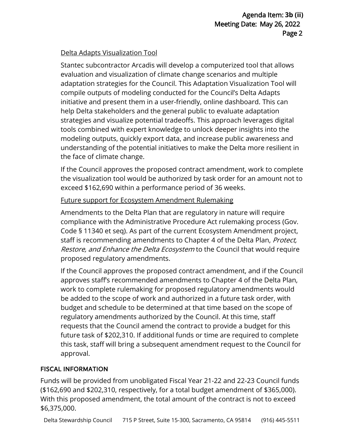# Delta Adapts Visualization Tool

Stantec subcontractor Arcadis will develop a computerized tool that allows evaluation and visualization of climate change scenarios and multiple adaptation strategies for the Council. This Adaptation Visualization Tool will compile outputs of modeling conducted for the Council's Delta Adapts initiative and present them in a user-friendly, online dashboard. This can help Delta stakeholders and the general public to evaluate adaptation strategies and visualize potential tradeoffs. This approach leverages digital tools combined with expert knowledge to unlock deeper insights into the modeling outputs, quickly export data, and increase public awareness and understanding of the potential initiatives to make the Delta more resilient in the face of climate change.

If the Council approves the proposed contract amendment, work to complete the visualization tool would be authorized by task order for an amount not to exceed \$162,690 within a performance period of 36 weeks.

# Future support for Ecosystem Amendment Rulemaking

Amendments to the Delta Plan that are regulatory in nature will require compliance with the Administrative Procedure Act rulemaking process (Gov. Code § 11340 et seq). As part of the current Ecosystem Amendment project, staff is recommending amendments to Chapter 4 of the Delta Plan, Protect, Restore, and Enhance the Delta Ecosystem to the Council that would require proposed regulatory amendments.

If the Council approves the proposed contract amendment, and if the Council approves staff's recommended amendments to Chapter 4 of the Delta Plan, work to complete rulemaking for proposed regulatory amendments would be added to the scope of work and authorized in a future task order, with budget and schedule to be determined at that time based on the scope of regulatory amendments authorized by the Council. At this time, staff requests that the Council amend the contract to provide a budget for this future task of \$202,310. If additional funds or time are required to complete this task, staff will bring a subsequent amendment request to the Council for approval.

# FISCAL INFORMATION

Funds will be provided from unobligated Fiscal Year 21-22 and 22-23 Council funds (\$162,690 and \$202,310, respectively, for a total budget amendment of \$365,000). With this proposed amendment, the total amount of the contract is not to exceed \$6,375,000.